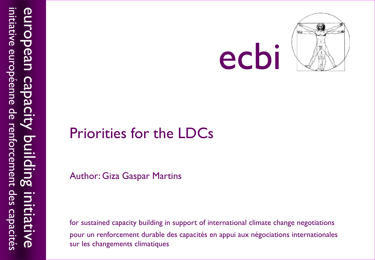

#### Priorities for the LDCs

Author: Giza Gaspar Martins

for sustained capacity building in support of international climate change negotiations pour un renforcement durable des capacités en appui aux négociations internationales sur les changements climatiques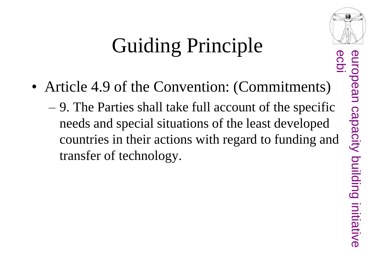#### Guiding Principle

- Article 4.9 of the Convention: (Commitments)
	- 9. The Parties shall take full account of the specific needs and special situations of the least developed countries in their actions with regard to funding and transfer of technology.

european capacity building initiative european capacity building initiative

ecbi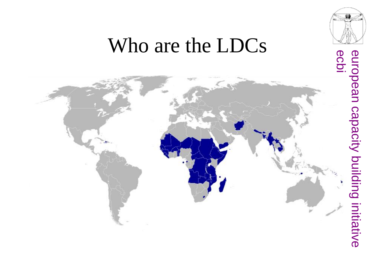

#### Who are the LDCs

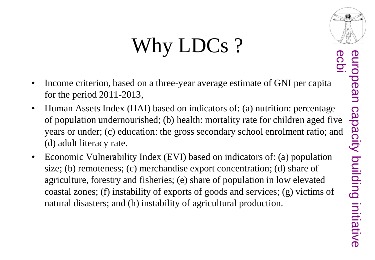ecbi

### Why LDCs?

- Income criterion, based on a three-year average estimate of GNI per capita for the period 2011-2013,
- Human Assets Index (HAI) based on indicators of: (a) nutrition: percentage of population undernourished; (b) health: mortality rate for children aged five years or under; (c) education: the gross secondary school enrolment ratio; and (d) adult literacy rate.
- Economic Vulnerability Index (EVI) based on indicators of: (a) population size; (b) remoteness; (c) merchandise export concentration; (d) share of agriculture, forestry and fisheries; (e) share of population in low elevated coastal zones; (f) instability of exports of goods and services; (g) victims of natural disasters; and (h) instability of agricultural production.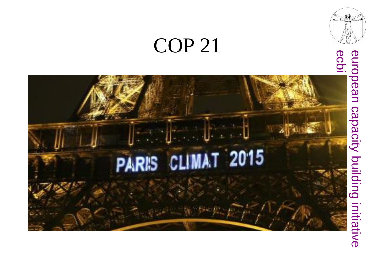#### COP 21



# european capacity building initiative<br>ecbi european capacity building initiative

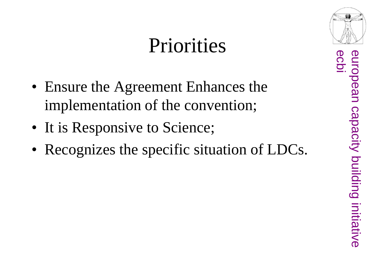#### Priorities

- Ensure the Agreement Enhances the implementation of the convention;
- It is Responsive to Science;
- Recognizes the specific situation of LDCs.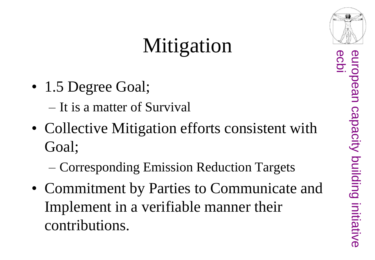#### Mitigation

- 1.5 Degree Goal;
	- It is a matter of Survival
- Collective Mitigation efforts consistent with Goal;
	- Corresponding Emission Reduction Targets
- Commitment by Parties to Communicate and Implement in a verifiable manner their contributions.



capacity building initiative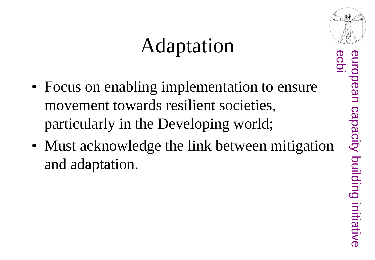#### Adaptation

- Focus on enabling implementation to ensure movement towards resilient societies, particularly in the Developing world;
- Must acknowledge the link between mitigation and adaptation.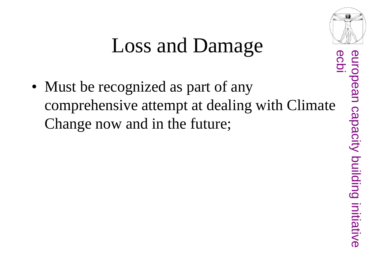

#### Loss and Damage

• Must be recognized as part of any comprehensive attempt at dealing with Climate Change now and in the future;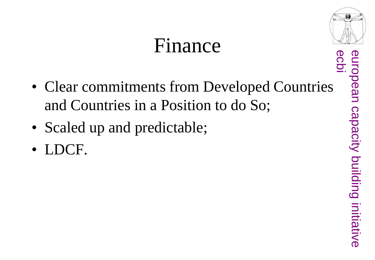#### Finance



- Scaled up and predictable;
- LDCF.

european<br>ecbi european capacity building initiative capacity building initiative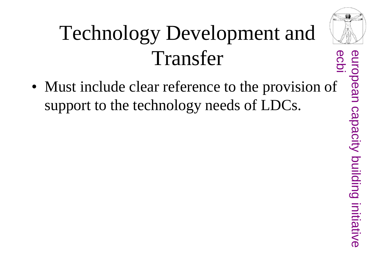#### Technology Development and Transfer

• Must include clear reference to the provision of support to the technology needs of LDCs.



capacity building initiative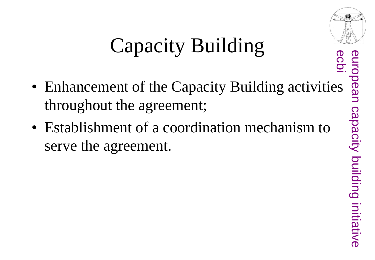

#### Capacity Building

- Enhancement of the Capacity Building activities throughout the agreement;
- Establishment of a coordination mechanism to serve the agreement.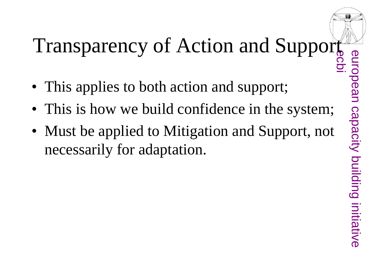## Transparency of Action and Support

- This applies to both action and support;
- This is how we build confidence in the system;
- Must be applied to Mitigation and Support, not necessarily for adaptation.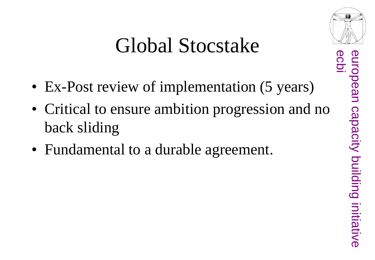#### Global Stocstake

- Ex-Post review of implementation (5 years)
- Critical to ensure ambition progression and no back sliding
- Fundamental to a durable agreement.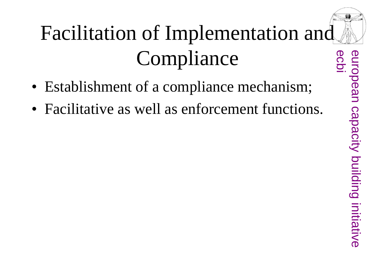#### Facilitation of Implementation and Compliance

- Establishment of a compliance mechanism;
- Facilitative as well as enforcement functions.